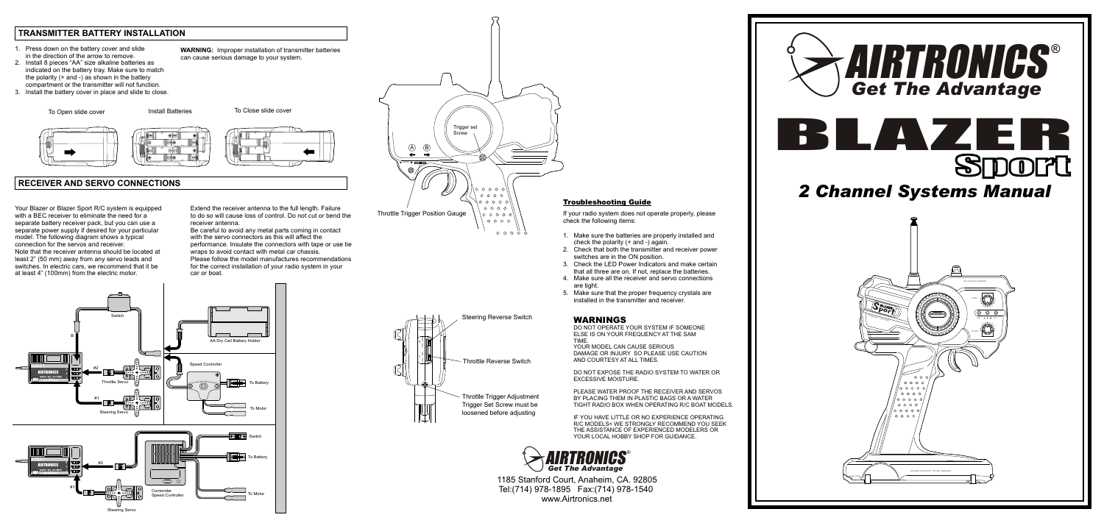## *2 Channel Systems Manual*

1185 Stanford Court, Anaheim, CA. 92805 Tel:(714) 978-1895 Fax:(714) 978-1540 www.Airtronics.net

### **TRANSMITTER BATTERY INSTALLATION**

### **RECEIVER AND SERVO CONNECTIONS**

#### WARNINGS

DO NOT OPERATE YOUR SYSTEM IF SOMEONE ELSE IS ON YOUR FREQUENCY AT THE SAM TIME.

IF YOU HAVE LITTLE OR NO EXPERIENCE OPERATING R/C MODELS< WE STRONGLY RECOMMEND YOU SEEK THE ASSISTANCE OF EXPERIENCED MODELERS OR YOUR LOCAL HOBBY SHOP FOR GUIDANCE.

YOUR MODEL CAN CAUSE SERIOUS DAMAGE OR INJURY SO PLEASE USE CAUTION AND COURTESY AT ALL TIMES.

DO NOT EXPOSE THE RADIO SYSTEM TO WATER OR EXCESSIVE MOISTURE.

PLEASE WATER PROOF THE RECEIVER AND SERVOS BY PLACING THEM IN PLASTIC BAGS OR A WATER TIGHT RADIO BOX WHEN OPERATING R/C BOAT MODELS.

#### Troubleshooting Guide

If your radio system does not operate properly, please check the following items:

- 1. Make sure the batteries are properly installed and check the polarity (+ and -) again.
- 2. Check that both the transmitter and receiver power switches are in the ON position. 3. Check the LED Power Indicators and make certain
- that all three are on. If not, replace the batteries.
- are tight.<br>5. Make su
- installed in the transmitter and receiver.

4. Make sure all the receiver and servo connections

Make sure that the proper frequency crystals are

- 1. Press down on the battery cover and slide in the direction of the arrow to remove.
- 2. Install 8 pieces "AA" size alkaline batteries as indicated on the battery tray. Make sure to match the polarity (+ and -) as shown in the battery compartment or the transmitter will not function.
- 3. Install the battery cover in place and slide to close.

**WARNING:** Improper installation of transmitter batteries

can cause serious damage to your system.

Your Blazer or Blazer Sport R/C system is equipped with a BEC receiver to eliminate the need for a separate battery receiver pack, but you can use a separate power supply if desired for your particular model. The following diagram shows a typical connection for the servos and receiver. Note that the receiver antenna should be located at least 2" (50 mm) away from any servo leads and switches. In electric cars, we recommend that it be at least 4" (100mm) from the electric motor.

Extend the receiver antenna to the full length. Failure to do so will cause loss of control. Do not cut or bend the receiver antenna.

g.

Be careful to avoid any metal parts coming in contact with the servo connectors as this will affect the performance. Insulate the connectors with tape or use tie wraps to avoid contact with metal car chassis. Please follow the model manufactures recommendations for the correct installation of your radio system in your car or boat.